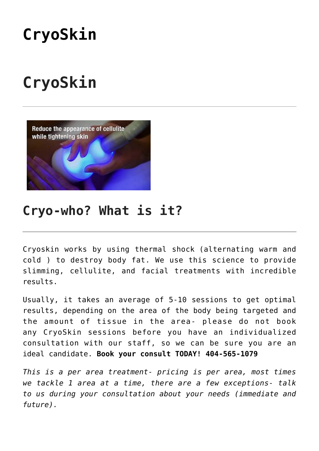# **[CryoSkin](https://www.wellkneadedcare.com/cryoskin/)**

# **CryoSkin**



## **Cryo-who? What is it?**

Cryoskin works by using thermal shock (alternating warm and cold ) to destroy body fat. We use this science to provide slimming, cellulite, and facial treatments with incredible results.

Usually, it takes an average of 5-10 sessions to get optimal results, depending on the area of the body being targeted and the amount of tissue in the area- please do not book any CryoSkin sessions before you have an individualized consultation with our staff, so we can be sure you are an ideal candidate. **Book your consult TODAY! 404-565-1079**

*This is a per area treatment- pricing is per area, most times we tackle 1 area at a time, there are a few exceptions- talk to us during your consultation about your needs (immediate and future).*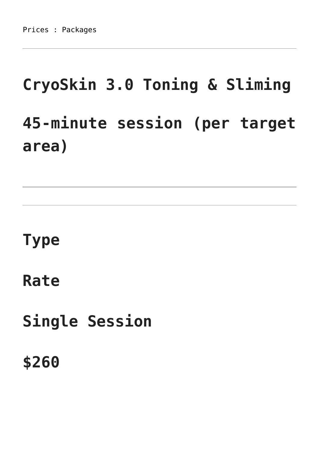# **CryoSkin 3.0 Toning & Sliming 45-minute session (per target area)**

# **Type**

**Rate**

**Single Session**

**\$260**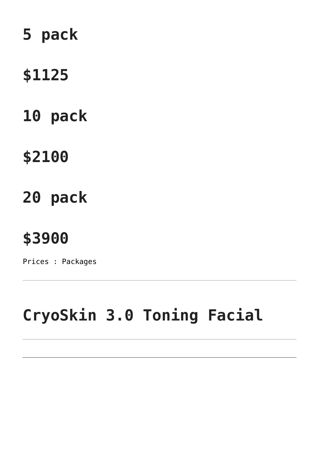# **5 pack**

## **\$1125**

# **10 pack**

# **\$2100**

# **20 pack**

# **\$3900**

Prices : Packages

# **CryoSkin 3.0 Toning Facial**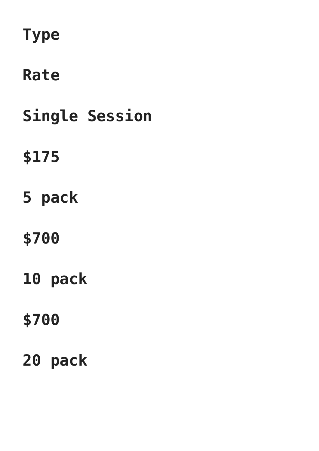# **Type**

# **Rate**

**Single Session**

# **\$175**

**5 pack**

# **\$700**

**10 pack**

# **\$700**

# **20 pack**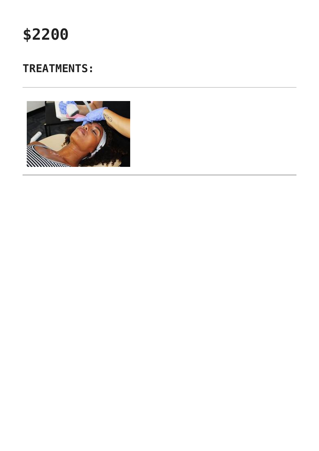

## **TREATMENTS:**

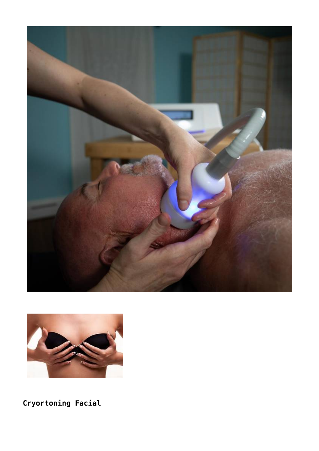



Cryortoning Facial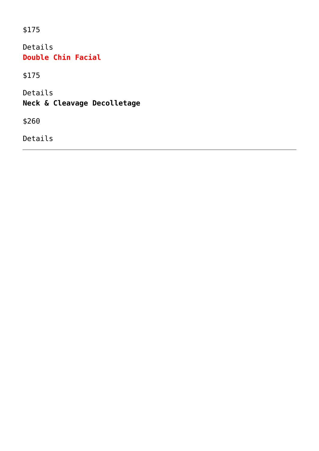\$175

Details **Double Chin Facial**

\$175

Details **Neck & Cleavage Decolletage**

\$260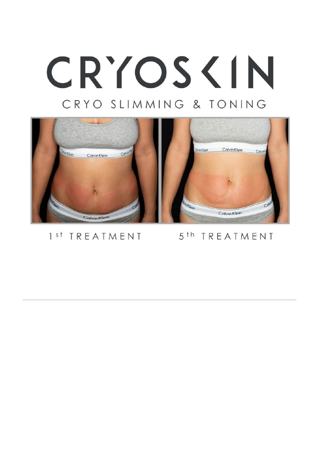# CRYOS <IN CRYO SLIMMING & TONING



## 1<sup>st</sup> TREATMENT

## 5<sup>th</sup> TREATMENT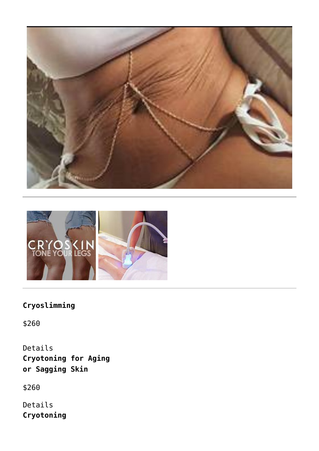



## **Cryoslimming**

\$260

Details **Cryotoning for Aging or Sagging Skin**

\$260

Details **Cryotoning**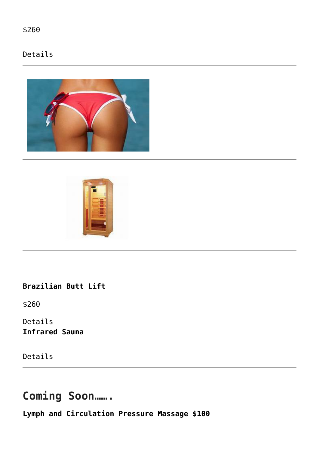\$260

### Details





**Brazilian Butt Lift**

\$260

Details **Infrared Sauna**

Details

## **Coming Soon…….**

**Lymph and Circulation Pressure Massage \$100**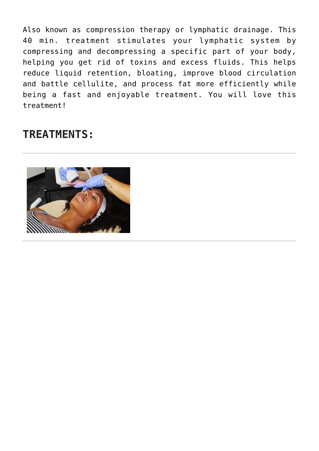Also known as compression therapy or lymphatic drainage. This 40 min. treatment stimulates your lymphatic system by compressing and decompressing a specific part of your body, helping you get rid of toxins and excess fluids. This helps reduce liquid retention, bloating, improve blood circulation and battle cellulite, and process fat more efficiently while being a fast and enjoyable treatment. You will love this treatment!

## **TREATMENTS:**

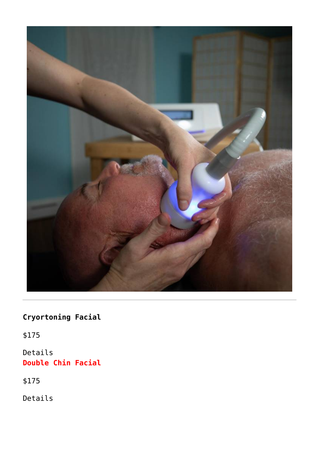

## **Cryortoning Facial**

\$175

Details **Double Chin Facial**

\$175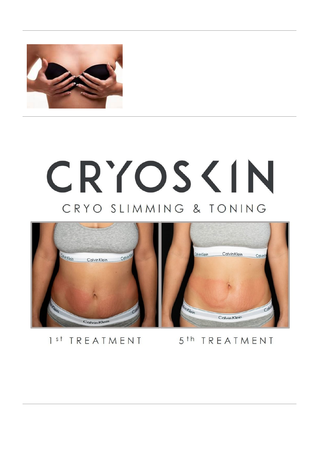

# CRYOS <IN CRYO SLIMMING & TONING



1<sup>st</sup> TREATMENT

5<sup>th</sup> TREATMENT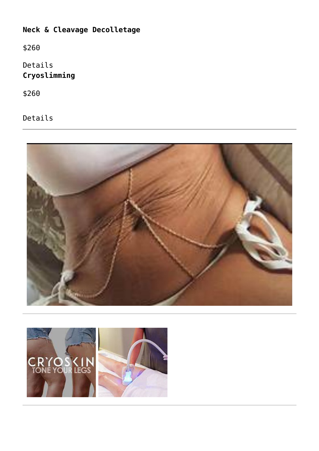## **Neck & Cleavage Decolletage**

\$260

Details **Cryoslimming**

\$260



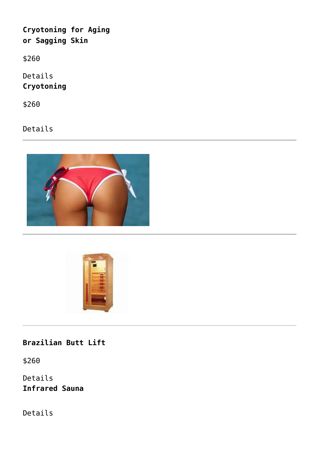**Cryotoning for Aging or Sagging Skin**

\$260

Details **Cryotoning**

\$260

Details





**Brazilian Butt Lift**

\$260

Details **Infrared Sauna**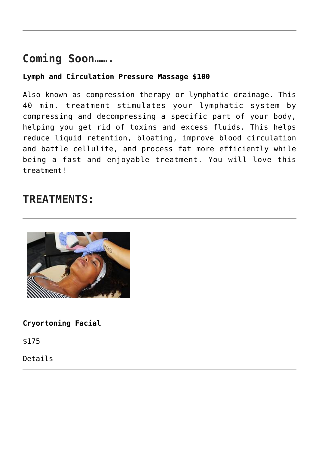## **Coming Soon…….**

#### **Lymph and Circulation Pressure Massage \$100**

Also known as compression therapy or lymphatic drainage. This 40 min. treatment stimulates your lymphatic system by compressing and decompressing a specific part of your body, helping you get rid of toxins and excess fluids. This helps reduce liquid retention, bloating, improve blood circulation and battle cellulite, and process fat more efficiently while being a fast and enjoyable treatment. You will love this treatment!

## **TREATMENTS:**



**Cryortoning Facial**

\$175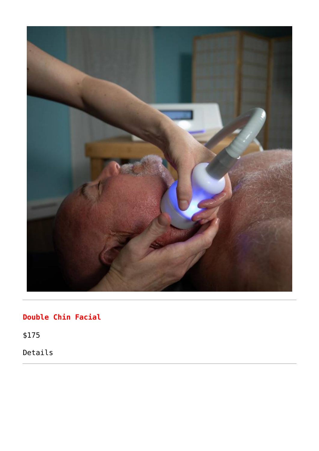

## **Double Chin Facial**

\$175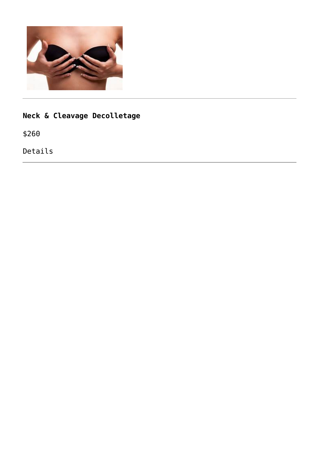

## **Neck & Cleavage Decolletage**

\$260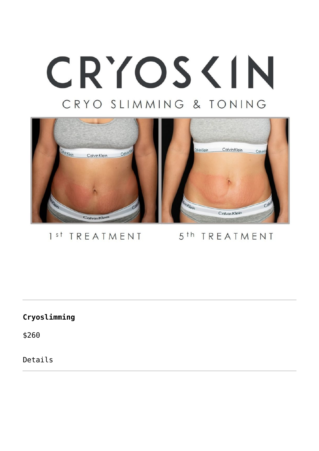# CRYOS <IN CRYO SLIMMING & TONING



### 1<sup>st</sup> TREATMENT

## 5<sup>th</sup> TREATMENT

#### **Cryoslimming**

\$260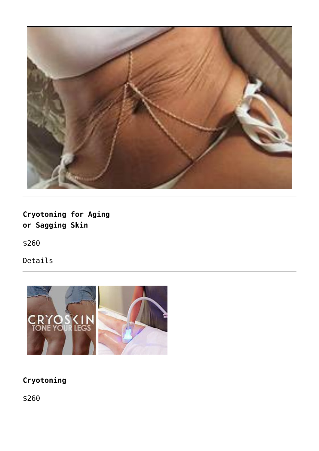

**Cryotoning for Aging or Sagging Skin**

\$260

Details



## **Cryotoning**

\$260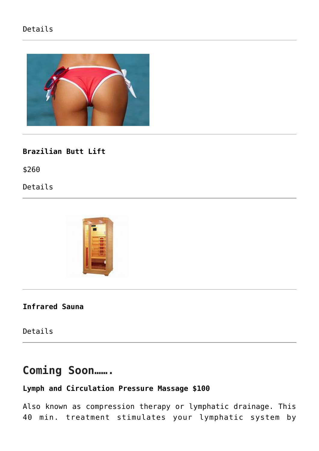### Details



#### **Brazilian Butt Lift**

\$260

Details



#### **Infrared Sauna**

Details

## **Coming Soon…….**

### **Lymph and Circulation Pressure Massage \$100**

Also known as compression therapy or lymphatic drainage. This 40 min. treatment stimulates your lymphatic system by